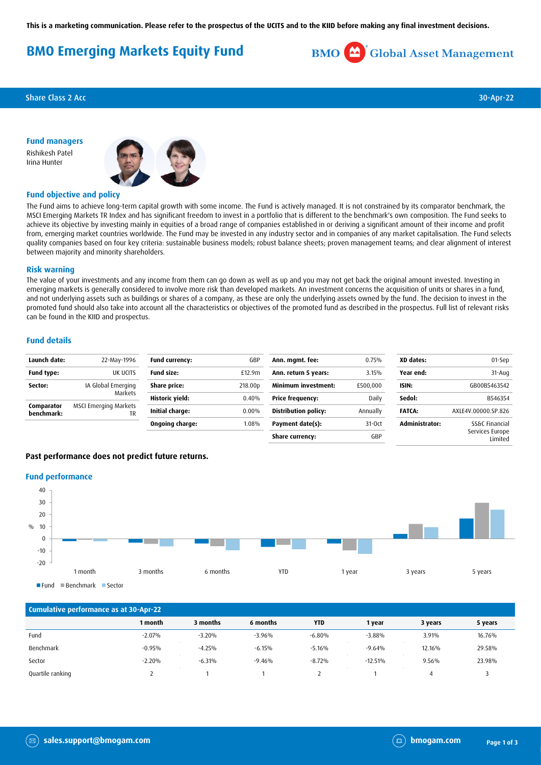**This is a marketing communication. Please refer to the prospectus of the UCITS and to the KIID before making any final investment decisions.**

# **BMO Emerging Markets Equity Fund**



**Share Class 2 Acc** 30-Apr-22

**Fund managers** Rishikesh Patel Irina Hunter



## **Fund objective and policy**

The Fund aims to achieve long-term capital growth with some income. The Fund is actively managed. It is not constrained by its comparator benchmark, the MSCI Emerging Markets TR Index and has significant freedom to invest in a portfolio that is different to the benchmark's own composition. The Fund seeks to achieve its objective by investing mainly in equities of a broad range of companies established in or deriving a significant amount of their income and profit from, emerging market countries worldwide. The Fund may be invested in any industry sector and in companies of any market capitalisation. The Fund selects quality companies based on four key criteria: sustainable business models; robust balance sheets; proven management teams; and clear alignment of interest between majority and minority shareholders.

#### **Risk warning**

The value of your investments and any income from them can go down as well as up and you may not get back the original amount invested. Investing in emerging markets is generally considered to involve more risk than developed markets. An investment concerns the acquisition of units or shares in a fund, and not underlying assets such as buildings or shares of a company, as these are only the underlying assets owned by the fund. The decision to invest in the promoted fund should also take into account all the characteristics or objectives of the promoted fund as described in the prospectus. Full list of relevant risks can be found in the KIID and prospectus.

### **Fund details**

| Launch date:             | 22-May-1996                        | <b>Fund currency:</b> | GBP                 | Ann. mgmt. fee:             | 0.75%    | XD dates:      | 01-Sep                     |
|--------------------------|------------------------------------|-----------------------|---------------------|-----------------------------|----------|----------------|----------------------------|
| <b>Fund type:</b>        | UK UCITS                           | <b>Fund size:</b>     | £12.9m              | Ann. return 5 years:        | 3.15%    | Year end:      | $31 - Aug$                 |
| Sector:                  | IA Global Emerging                 | Share price:          | 218.00 <sub>D</sub> | <b>Minimum investment:</b>  | £500,000 | ISIN:          | GB00B5463542               |
|                          | Markets                            | Historic yield:       | 0.40%               | <b>Price frequency:</b>     | Daily    | Sedol:         | B546354                    |
| Comparator<br>benchmark: | <b>MSCI Emerging Markets</b><br>TR | Initial charge:       | 0.00%               | <b>Distribution policy:</b> | Annually | <b>FATCA:</b>  | AXLE4V.00000.SP.826        |
|                          |                                    | Ongoing charge:       | 1.08%               | Payment date(s):            | $31-0ct$ | Administrator: | SS&C Financial             |
|                          |                                    |                       |                     | Share currency:             | GBP      |                | Services Europe<br>Limited |

#### **Past performance does not predict future returns.**

#### **Fund performance**



| Cumulative performance as at 30-Apr-22 |          |          |          |            |           |         |         |
|----------------------------------------|----------|----------|----------|------------|-----------|---------|---------|
|                                        | 1 month  | 3 months | 6 months | <b>YTD</b> | 1 year    | 3 years | 5 years |
| Fund                                   | $-2.07%$ | $-3.20%$ | $-3.96%$ | $-6.80%$   | $-3.88%$  | 3.91%   | 16.76%  |
| Benchmark                              | $-0.95%$ | $-4.25%$ | $-6.15%$ | $-5.16%$   | $-9.64%$  | 12.16%  | 29.58%  |
| Sector                                 | $-2.20%$ | $-6.31%$ | $-9.46%$ | $-8.72%$   | $-12.51%$ | 9.56%   | 23.98%  |
| Quartile ranking                       |          |          |          |            |           | 4       |         |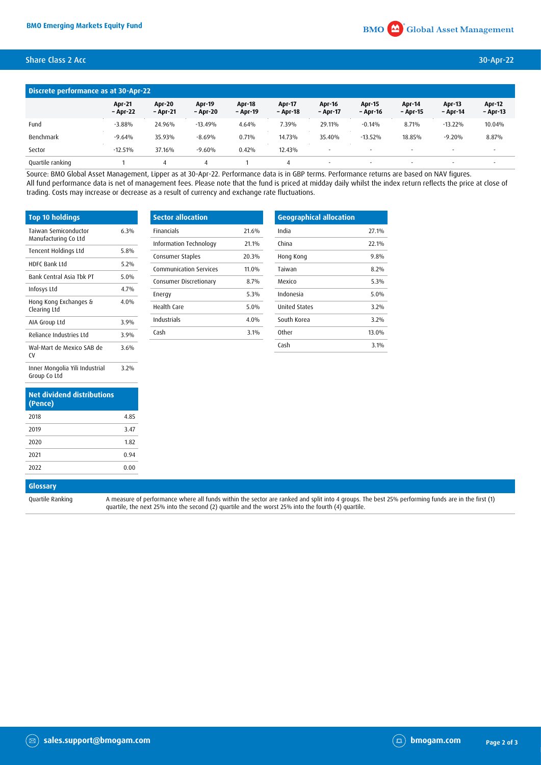# Share Class 2 Acc 30-Apr-22

| Discrete performance as at 30-Apr-22 |                           |                           |                           |                    |                    |                          |                          |                           |                           |                           |
|--------------------------------------|---------------------------|---------------------------|---------------------------|--------------------|--------------------|--------------------------|--------------------------|---------------------------|---------------------------|---------------------------|
|                                      | <b>Apr-21</b><br>- Apr-22 | <b>Apr-20</b><br>- Apr-21 | <b>Apr-19</b><br>- Apr-20 | Apr-18<br>- Apr-19 | Apr-17<br>- Apr-18 | Apr-16<br>- Apr-17       | Apr-15<br>- Apr-16       | <b>Apr-14</b><br>- Apr-15 | <b>Apr-13</b><br>- Apr-14 | <b>Apr-12</b><br>- Apr-13 |
| Fund                                 | $-3.88%$                  | 24.96%                    | $-13.49%$                 | 4.64%              | 7.39%              | 29.11%                   | $-0.14%$                 | 8.71%                     | $-13.22\%$                | 10.04%                    |
| Benchmark                            | $-9.64%$                  | 35.93%                    | $-8.69%$                  | 0.71%              | 14.73%             | 35.40%                   | $-13.52\%$               | 18.85%                    | $-9.20%$                  | 8.87%                     |
| Sector                               | $-12.51%$                 | 37.16%                    | $-9.60%$                  | 0.42%              | 12.43%             | $\overline{\phantom{a}}$ | $\overline{\phantom{a}}$ | $\overline{\phantom{a}}$  |                           | $\overline{\phantom{a}}$  |
| Quartile ranking                     |                           |                           |                           |                    |                    | $\overline{\phantom{a}}$ | $\overline{\phantom{a}}$ | $\overline{\phantom{a}}$  |                           |                           |

Source: BMO Global Asset Management, Lipper as at 30-Apr-22. Performance data is in GBP terms. Performance returns are based on NAV figures. All fund performance data is net of management fees. Please note that the fund is priced at midday daily whilst the index return reflects the price at close of trading. Costs may increase or decrease as a result of currency and exchange rate fluctuations.

| <b>Top 10 holdings</b>                         |         |
|------------------------------------------------|---------|
| Taiwan Semiconductor<br>Manufacturing Co Ltd   | 6.3%    |
| Tencent Holdings Ltd                           | 5.8%    |
| <b>HDFC Bank Ltd</b>                           | 5.2%    |
| Bank Central Asia Thk PT                       | $5.0\%$ |
| Infosys Ltd                                    | 4 7%    |
| Hong Kong Exchanges &<br>Clearing Ltd          | $4.0\%$ |
| AIA Group Ltd                                  | 3.9%    |
| Reliance Industries Ltd                        | 39%     |
| Wal-Mart de Mexico SAB de<br>٢V                | 3.6%    |
| Inner Mongolia Yili Industrial<br>Group Co Ltd | 3.2%    |

| <b>Net dividend distributions</b><br>(Pence) |      |
|----------------------------------------------|------|
| 2018                                         | 4.85 |
| 2019                                         | 3.47 |
| 2020                                         | 1.82 |
| 2021                                         | 0.94 |
| 2022                                         | 0.00 |

| <b>Sector allocation</b>      |       |
|-------------------------------|-------|
| <b>Financials</b>             | 21 6% |
| Information Technology        | 21.1% |
| Consumer Staples              | 20.3% |
| <b>Communication Services</b> | 11.0% |
| Consumer Discretionary        | 8.7%  |
| Energy                        | 5.3%  |
| Health Care                   | 5.0%  |
| Industrials                   | 4.0%  |
| Cash                          | 3.1%  |
|                               |       |

| <b>Geographical allocation</b> |       |
|--------------------------------|-------|
| India                          | 27.1% |
| China                          | 22.1% |
| Hong Kong                      | 9.8%  |
| Taiwan                         | 8.2%  |
| Mexico                         | 5.3%  |
| Indonesia                      | 5.0%  |
| <b>United States</b>           | 3.2%  |
| South Korea                    | 3.2%  |
| <b>Other</b>                   | 13.0% |
| Cash                           | 3.1%  |

# **Glossary**

Quartile Ranking A measure of performance where all funds within the sector are ranked and split into 4 groups. The best 25% performing funds are in the first (1) quartile, the next 25% into the second (2) quartile and the worst 25% into the fourth (4) quartile.